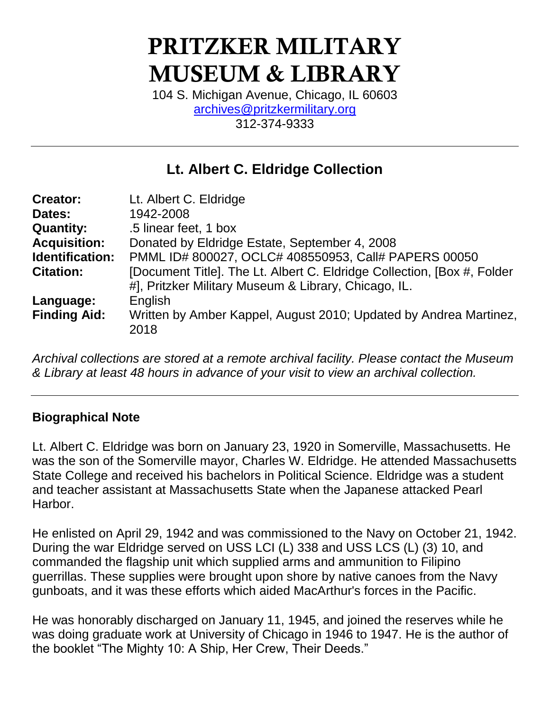# **PRITZKER MILITARY MUSEUM & LIBRARY**

104 S. Michigan Avenue, Chicago, IL 60603 [archives@pritzkermilitary.org](mailto:archives@pritzkermilitary.org) 312-374-9333

# **Lt. Albert C. Eldridge Collection**

| <b>Creator:</b>     | Lt. Albert C. Eldridge                                                                                                          |
|---------------------|---------------------------------------------------------------------------------------------------------------------------------|
| Dates:              | 1942-2008                                                                                                                       |
| <b>Quantity:</b>    | .5 linear feet, 1 box                                                                                                           |
| <b>Acquisition:</b> | Donated by Eldridge Estate, September 4, 2008                                                                                   |
| Identification:     | PMML ID# 800027, OCLC# 408550953, Call# PAPERS 00050                                                                            |
| <b>Citation:</b>    | [Document Title]. The Lt. Albert C. Eldridge Collection, [Box #, Folder<br>#], Pritzker Military Museum & Library, Chicago, IL. |
| Language:           | English                                                                                                                         |
| <b>Finding Aid:</b> | Written by Amber Kappel, August 2010; Updated by Andrea Martinez,<br>2018                                                       |

*Archival collections are stored at a remote archival facility. Please contact the Museum & Library at least 48 hours in advance of your visit to view an archival collection.*

### **Biographical Note**

Lt. Albert C. Eldridge was born on January 23, 1920 in Somerville, Massachusetts. He was the son of the Somerville mayor, Charles W. Eldridge. He attended Massachusetts State College and received his bachelors in Political Science. Eldridge was a student and teacher assistant at Massachusetts State when the Japanese attacked Pearl Harbor.

He enlisted on April 29, 1942 and was commissioned to the Navy on October 21, 1942. During the war Eldridge served on USS LCI (L) 338 and USS LCS (L) (3) 10, and commanded the flagship unit which supplied arms and ammunition to Filipino guerrillas. These supplies were brought upon shore by native canoes from the Navy gunboats, and it was these efforts which aided MacArthur's forces in the Pacific.

He was honorably discharged on January 11, 1945, and joined the reserves while he was doing graduate work at University of Chicago in 1946 to 1947. He is the author of the booklet "The Mighty 10: A Ship, Her Crew, Their Deeds."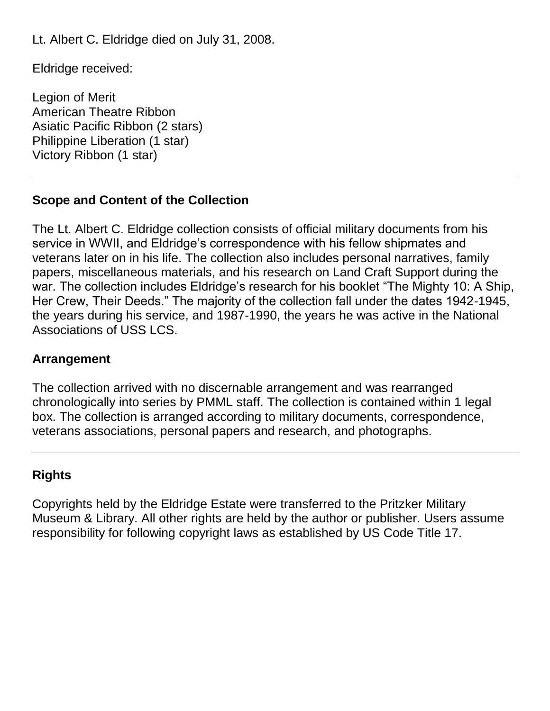Lt. Albert C. Eldridge died on July 31, 2008.

Eldridge received:

Legion of Merit American Theatre Ribbon Asiatic Pacific Ribbon (2 stars) Philippine Liberation (1 star) Victory Ribbon (1 star)

### **Scope and Content of the Collection**

The Lt. Albert C. Eldridge collection consists of official military documents from his service in WWII, and Eldridge's correspondence with his fellow shipmates and veterans later on in his life. The collection also includes personal narratives, family papers, miscellaneous materials, and his research on Land Craft Support during the war. The collection includes Eldridge's research for his booklet "The Mighty 10: A Ship, Her Crew, Their Deeds." The majority of the collection fall under the dates 1942-1945, the years during his service, and 1987-1990, the years he was active in the National Associations of USS LCS.

### **Arrangement**

The collection arrived with no discernable arrangement and was rearranged chronologically into series by PMML staff. The collection is contained within 1 legal box. The collection is arranged according to military documents, correspondence, veterans associations, personal papers and research, and photographs.

#### **Rights**

Copyrights held by the Eldridge Estate were transferred to the Pritzker Military Museum & Library. All other rights are held by the author or publisher. Users assume responsibility for following copyright laws as established by US Code Title 17.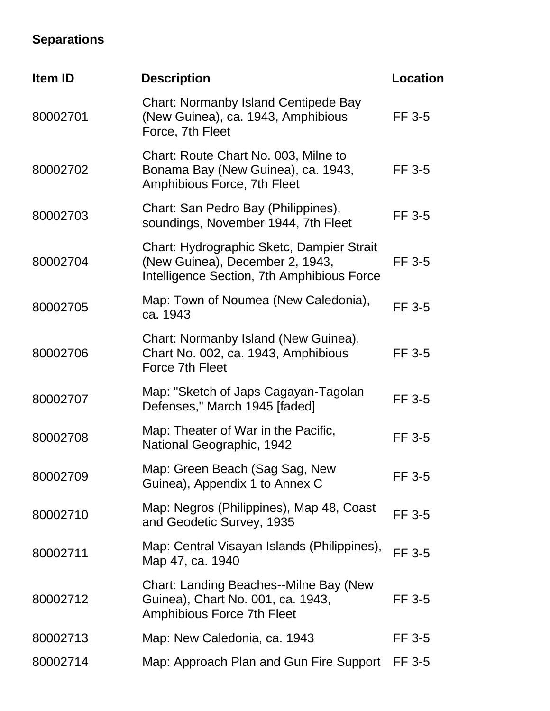# **Separations**

| Item ID  | <b>Description</b>                                                                                                         | <b>Location</b> |
|----------|----------------------------------------------------------------------------------------------------------------------------|-----------------|
| 80002701 | <b>Chart: Normanby Island Centipede Bay</b><br>(New Guinea), ca. 1943, Amphibious<br>Force, 7th Fleet                      | FF 3-5          |
| 80002702 | Chart: Route Chart No. 003, Milne to<br>Bonama Bay (New Guinea), ca. 1943,<br>Amphibious Force, 7th Fleet                  | FF 3-5          |
| 80002703 | Chart: San Pedro Bay (Philippines),<br>soundings, November 1944, 7th Fleet                                                 | FF 3-5          |
| 80002704 | Chart: Hydrographic Sketc, Dampier Strait<br>(New Guinea), December 2, 1943,<br>Intelligence Section, 7th Amphibious Force | FF 3-5          |
| 80002705 | Map: Town of Noumea (New Caledonia),<br>ca. 1943                                                                           | FF 3-5          |
| 80002706 | Chart: Normanby Island (New Guinea),<br>Chart No. 002, ca. 1943, Amphibious<br>Force 7th Fleet                             | FF 3-5          |
| 80002707 | Map: "Sketch of Japs Cagayan-Tagolan<br>Defenses," March 1945 [faded]                                                      | FF 3-5          |
| 80002708 | Map: Theater of War in the Pacific,<br>National Geographic, 1942                                                           | FF 3-5          |
| 80002709 | Map: Green Beach (Sag Sag, New<br>Guinea), Appendix 1 to Annex C                                                           | FF 3-5          |
| 80002710 | Map: Negros (Philippines), Map 48, Coast<br>and Geodetic Survey, 1935                                                      | FF 3-5          |
| 80002711 | Map: Central Visayan Islands (Philippines),<br>Map 47, ca. 1940                                                            | <b>FF 3-5</b>   |
| 80002712 | Chart: Landing Beaches--Milne Bay (New<br>Guinea), Chart No. 001, ca. 1943,<br>Amphibious Force 7th Fleet                  | FF 3-5          |
| 80002713 | Map: New Caledonia, ca. 1943                                                                                               | FF 3-5          |
| 80002714 | Map: Approach Plan and Gun Fire Support                                                                                    | FF 3-5          |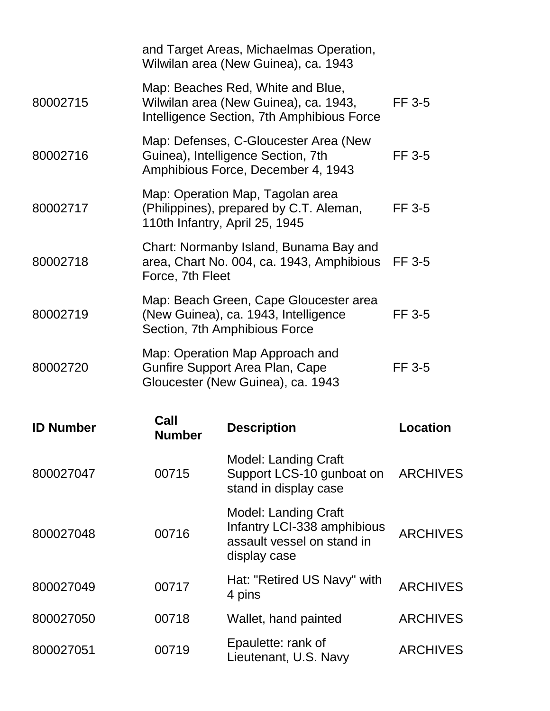|                  |                                                                                                                 | and Target Areas, Michaelmas Operation,<br>Wilwilan area (New Guinea), ca. 1943                                          |                 |
|------------------|-----------------------------------------------------------------------------------------------------------------|--------------------------------------------------------------------------------------------------------------------------|-----------------|
| 80002715         |                                                                                                                 | Map: Beaches Red, White and Blue,<br>Wilwilan area (New Guinea), ca. 1943,<br>Intelligence Section, 7th Amphibious Force | FF 3-5          |
| 80002716         |                                                                                                                 | Map: Defenses, C-Gloucester Area (New<br>Guinea), Intelligence Section, 7th<br>Amphibious Force, December 4, 1943        | FF 3-5          |
| 80002717         |                                                                                                                 | Map: Operation Map, Tagolan area<br>(Philippines), prepared by C.T. Aleman,<br>110th Infantry, April 25, 1945            | <b>FF 3-5</b>   |
| 80002718         | Force, 7th Fleet                                                                                                | Chart: Normanby Island, Bunama Bay and<br>area, Chart No. 004, ca. 1943, Amphibious                                      | FF 3-5          |
| 80002719         | Map: Beach Green, Cape Gloucester area<br>(New Guinea), ca. 1943, Intelligence<br>Section, 7th Amphibious Force |                                                                                                                          | FF 3-5          |
| 80002720         |                                                                                                                 | Map: Operation Map Approach and<br>Gunfire Support Area Plan, Cape<br>Gloucester (New Guinea), ca. 1943                  | FF 3-5          |
| <b>ID Number</b> | Call<br><b>Number</b>                                                                                           | <b>Description</b>                                                                                                       | Location        |
| 800027047        | 00715                                                                                                           | <b>Model: Landing Craft</b><br>Support LCS-10 gunboat on<br>stand in display case                                        | <b>ARCHIVES</b> |
| 800027048        | 00716                                                                                                           | <b>Model: Landing Craft</b><br>Infantry LCI-338 amphibious<br>assault vessel on stand in<br>display case                 | <b>ARCHIVES</b> |
| 800027049        | 00717                                                                                                           | Hat: "Retired US Navy" with<br>4 pins                                                                                    | <b>ARCHIVES</b> |
| 800027050        | 00718                                                                                                           | Wallet, hand painted                                                                                                     | <b>ARCHIVES</b> |
| 800027051        | 00719                                                                                                           | Epaulette: rank of<br>Lieutenant, U.S. Navy                                                                              | <b>ARCHIVES</b> |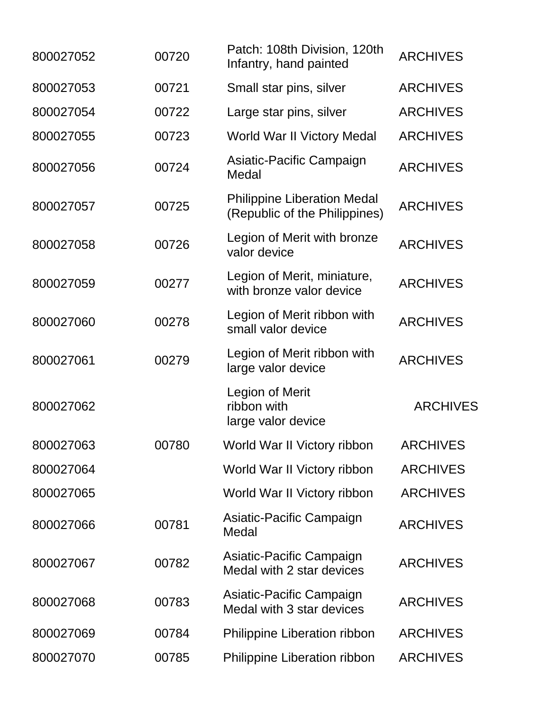| 800027052 | 00720 | Patch: 108th Division, 120th<br>Infantry, hand painted              | <b>ARCHIVES</b> |
|-----------|-------|---------------------------------------------------------------------|-----------------|
| 800027053 | 00721 | Small star pins, silver                                             | <b>ARCHIVES</b> |
| 800027054 | 00722 | Large star pins, silver                                             | <b>ARCHIVES</b> |
| 800027055 | 00723 | World War II Victory Medal                                          | <b>ARCHIVES</b> |
| 800027056 | 00724 | Asiatic-Pacific Campaign<br>Medal                                   | <b>ARCHIVES</b> |
| 800027057 | 00725 | <b>Philippine Liberation Medal</b><br>(Republic of the Philippines) | <b>ARCHIVES</b> |
| 800027058 | 00726 | Legion of Merit with bronze<br>valor device                         | <b>ARCHIVES</b> |
| 800027059 | 00277 | Legion of Merit, miniature,<br>with bronze valor device             | <b>ARCHIVES</b> |
| 800027060 | 00278 | Legion of Merit ribbon with<br>small valor device                   | <b>ARCHIVES</b> |
| 800027061 | 00279 | Legion of Merit ribbon with<br>large valor device                   | <b>ARCHIVES</b> |
| 800027062 |       | <b>Legion of Merit</b><br>ribbon with<br>large valor device         | <b>ARCHIVES</b> |
| 800027063 | 00780 | World War II Victory ribbon                                         | <b>ARCHIVES</b> |
| 800027064 |       | World War II Victory ribbon                                         | <b>ARCHIVES</b> |
| 800027065 |       | World War II Victory ribbon                                         | <b>ARCHIVES</b> |
| 800027066 | 00781 | Asiatic-Pacific Campaign<br>Medal                                   | <b>ARCHIVES</b> |
| 800027067 | 00782 | Asiatic-Pacific Campaign<br>Medal with 2 star devices               | <b>ARCHIVES</b> |
| 800027068 | 00783 | Asiatic-Pacific Campaign<br>Medal with 3 star devices               | <b>ARCHIVES</b> |
| 800027069 | 00784 | Philippine Liberation ribbon                                        | <b>ARCHIVES</b> |
| 800027070 | 00785 | Philippine Liberation ribbon                                        | <b>ARCHIVES</b> |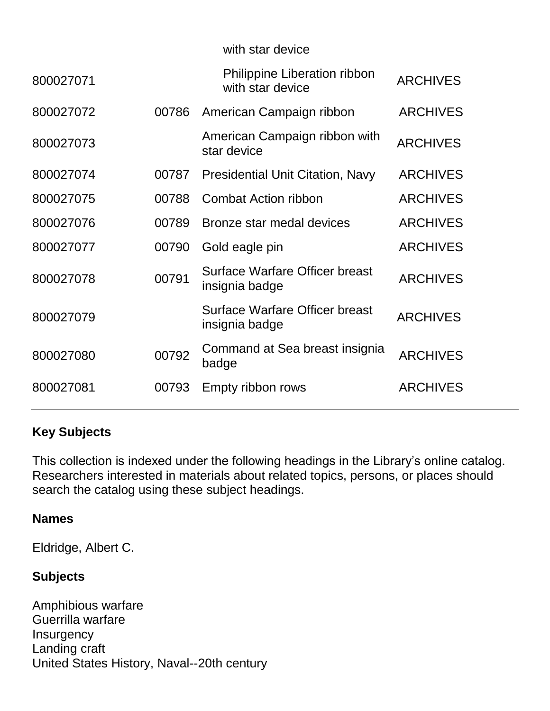|           |       | with star device                                        |                 |
|-----------|-------|---------------------------------------------------------|-----------------|
| 800027071 |       | <b>Philippine Liberation ribbon</b><br>with star device | <b>ARCHIVES</b> |
| 800027072 | 00786 | American Campaign ribbon                                | <b>ARCHIVES</b> |
| 800027073 |       | American Campaign ribbon with<br>star device            | <b>ARCHIVES</b> |
| 800027074 | 00787 | <b>Presidential Unit Citation, Navy</b>                 | <b>ARCHIVES</b> |
| 800027075 | 00788 | <b>Combat Action ribbon</b>                             | <b>ARCHIVES</b> |
| 800027076 | 00789 | Bronze star medal devices                               | <b>ARCHIVES</b> |
| 800027077 | 00790 | Gold eagle pin                                          | <b>ARCHIVES</b> |
| 800027078 | 00791 | Surface Warfare Officer breast<br>insignia badge        | <b>ARCHIVES</b> |
| 800027079 |       | <b>Surface Warfare Officer breast</b><br>insignia badge | <b>ARCHIVES</b> |
| 800027080 | 00792 | Command at Sea breast insignia<br>badge                 | <b>ARCHIVES</b> |
| 800027081 | 00793 | Empty ribbon rows                                       | <b>ARCHIVES</b> |
|           |       |                                                         |                 |

### **Key Subjects**

This collection is indexed under the following headings in the Library's online catalog. Researchers interested in materials about related topics, persons, or places should search the catalog using these subject headings.

### **Names**

Eldridge, Albert C.

# **Subjects**

Amphibious warfare Guerrilla warfare **Insurgency** Landing craft United States History, Naval--20th century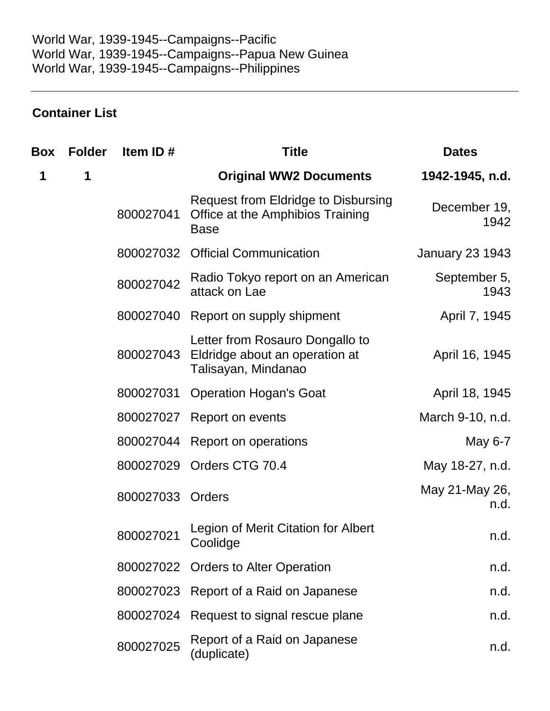# **Container List**

| Box | <b>Folder</b> | Item ID#  | <b>Title</b>                                                                                  | <b>Dates</b>           |
|-----|---------------|-----------|-----------------------------------------------------------------------------------------------|------------------------|
| 1   | 1             |           | <b>Original WW2 Documents</b>                                                                 | 1942-1945, n.d.        |
|     |               | 800027041 | <b>Request from Eldridge to Disbursing</b><br>Office at the Amphibios Training<br><b>Base</b> | December 19,<br>1942   |
|     |               | 800027032 | <b>Official Communication</b>                                                                 | <b>January 23 1943</b> |
|     |               | 800027042 | Radio Tokyo report on an American<br>attack on Lae                                            | September 5,<br>1943   |
|     |               | 800027040 | Report on supply shipment                                                                     | April 7, 1945          |
|     |               | 800027043 | Letter from Rosauro Dongallo to<br>Eldridge about an operation at<br>Talisayan, Mindanao      | April 16, 1945         |
|     |               | 800027031 | <b>Operation Hogan's Goat</b>                                                                 | April 18, 1945         |
|     |               | 800027027 | Report on events                                                                              | March 9-10, n.d.       |
|     |               | 800027044 | Report on operations                                                                          | May 6-7                |
|     |               | 800027029 | Orders CTG 70.4                                                                               | May 18-27, n.d.        |
|     |               | 800027033 | Orders                                                                                        | May 21-May 26,<br>n.d. |
|     |               | 800027021 | Legion of Merit Citation for Albert<br>Coolidge                                               | n.d.                   |
|     |               |           | 800027022 Orders to Alter Operation                                                           | n.d.                   |
|     |               | 800027023 | Report of a Raid on Japanese                                                                  | n.d.                   |
|     |               | 800027024 | Request to signal rescue plane                                                                | n.d.                   |
|     |               | 800027025 | Report of a Raid on Japanese<br>(duplicate)                                                   | n.d.                   |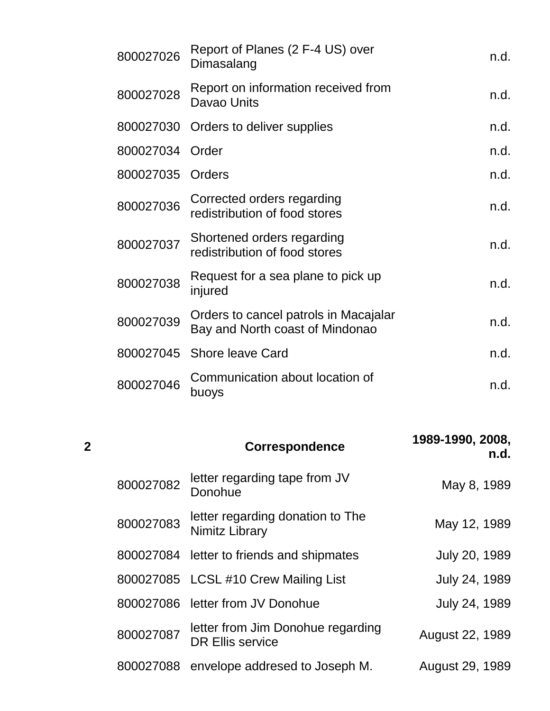| 800027026 | Report of Planes (2 F-4 US) over<br>Dimasalang                           | n.d. |
|-----------|--------------------------------------------------------------------------|------|
| 800027028 | Report on information received from<br>Davao Units                       | n.d. |
| 800027030 | Orders to deliver supplies                                               | n.d. |
| 800027034 | Order                                                                    | n.d. |
| 800027035 | Orders                                                                   | n.d. |
| 800027036 | Corrected orders regarding<br>redistribution of food stores              | n.d. |
| 800027037 | Shortened orders regarding<br>redistribution of food stores              | n.d. |
| 800027038 | Request for a sea plane to pick up<br>injured                            | n.d. |
| 800027039 | Orders to cancel patrols in Macajalar<br>Bay and North coast of Mindonao | n.d. |
| 800027045 | Shore leave Card                                                         | n.d. |
| 800027046 | Communication about location of<br>buoys                                 | n.d. |
|           |                                                                          |      |
|           |                                                                          |      |

| 2 |           | <b>Correspondence</b>                                        | 1989-1990, 2008,<br>n.d. |
|---|-----------|--------------------------------------------------------------|--------------------------|
|   | 800027082 | letter regarding tape from JV<br>Donohue                     | May 8, 1989              |
|   | 800027083 | letter regarding donation to The<br><b>Nimitz Library</b>    | May 12, 1989             |
|   | 800027084 | letter to friends and shipmates                              | July 20, 1989            |
|   |           | 800027085 LCSL #10 Crew Mailing List                         | July 24, 1989            |
|   | 800027086 | letter from JV Donohue                                       | July 24, 1989            |
|   | 800027087 | letter from Jim Donohue regarding<br><b>DR Ellis service</b> | August 22, 1989          |
|   | 800027088 | envelope addresed to Joseph M.                               | August 29, 1989          |
|   |           |                                                              |                          |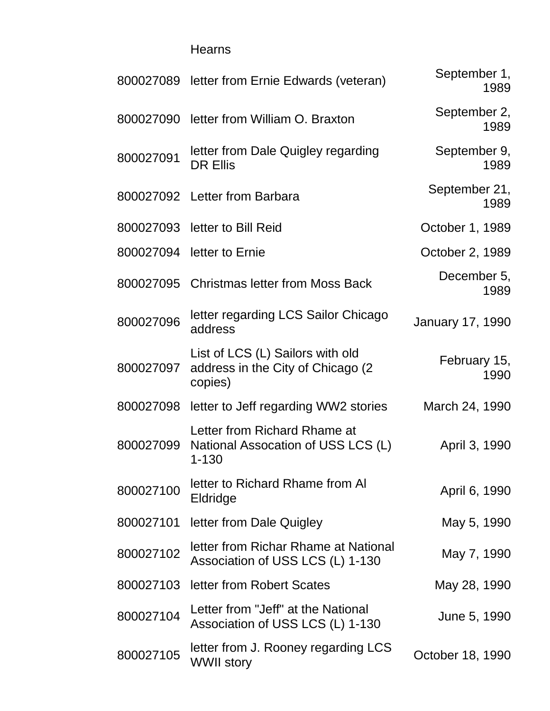### Hearns

|           | 800027089 letter from Ernie Edwards (veteran)                                     | September 1,<br>1989  |
|-----------|-----------------------------------------------------------------------------------|-----------------------|
|           | 800027090 letter from William O. Braxton                                          | September 2,<br>1989  |
| 800027091 | letter from Dale Quigley regarding<br><b>DR Ellis</b>                             | September 9,<br>1989  |
|           | 800027092 Letter from Barbara                                                     | September 21,<br>1989 |
|           | 800027093 letter to Bill Reid                                                     | October 1, 1989       |
|           | 800027094 letter to Ernie                                                         | October 2, 1989       |
|           | 800027095 Christmas letter from Moss Back                                         | December 5,<br>1989   |
| 800027096 | letter regarding LCS Sailor Chicago<br>address                                    | January 17, 1990      |
| 800027097 | List of LCS (L) Sailors with old<br>address in the City of Chicago (2)<br>copies) | February 15,<br>1990  |
|           | 800027098 letter to Jeff regarding WW2 stories                                    | March 24, 1990        |
| 800027099 | Letter from Richard Rhame at<br>National Assocation of USS LCS (L)<br>$1 - 130$   | April 3, 1990         |
| 800027100 | letter to Richard Rhame from Al<br>Eldridge                                       | April 6, 1990         |
| 800027101 | letter from Dale Quigley                                                          | May 5, 1990           |
| 800027102 | letter from Richar Rhame at National<br>Association of USS LCS (L) 1-130          | May 7, 1990           |
| 800027103 | letter from Robert Scates                                                         | May 28, 1990          |
| 800027104 | Letter from "Jeff" at the National<br>Association of USS LCS (L) 1-130            | June 5, 1990          |
| 800027105 | letter from J. Rooney regarding LCS<br><b>WWII story</b>                          | October 18, 1990      |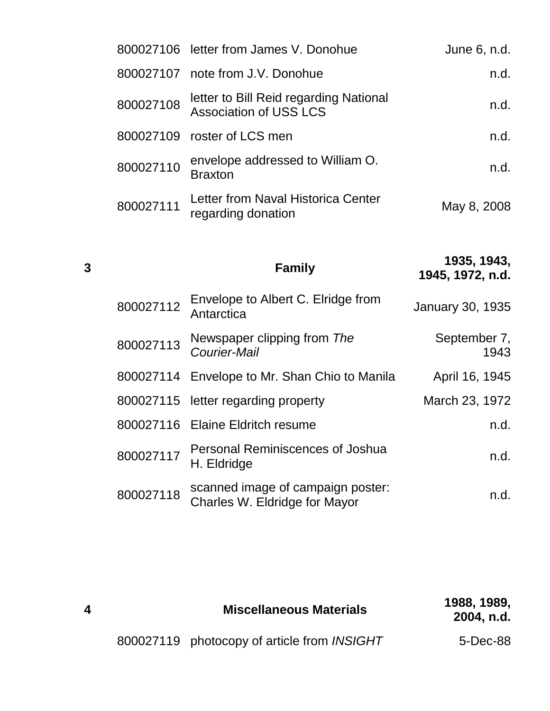|           | 800027106 letter from James V. Donohue                                  | June 6, n.d. |
|-----------|-------------------------------------------------------------------------|--------------|
|           | 800027107 note from J.V. Donohue                                        | n.d.         |
| 800027108 | letter to Bill Reid regarding National<br><b>Association of USS LCS</b> | n.d.         |
|           | 800027109 roster of LCS men                                             | n.d.         |
| 800027110 | envelope addressed to William O.<br><b>Braxton</b>                      | n.d.         |
| 800027111 | Letter from Naval Historica Center<br>regarding donation                | May 8, 2008  |

**<sup>3</sup> Family 1935, 1943, 1945, 1972, n.d.** 800027112 Envelope to Albert C. Elridge from<br>Antarctica **January 30, 1935** <sup>800027113</sup> Newspaper clipping from *The Courier-Mail* September 7, 1943 800027114 Envelope to Mr. Shan Chio to Manila April 16, 1945 800027115 letter regarding property March 23, 1972 800027116 Elaine Eldritch resume n.d. <sup>800027117</sup> Personal Reminiscences of Joshua H. Eldridge n.d. h.d. <sup>800027118</sup> scanned image of campaign poster: Scanned image of campaign poster.<br>Charles W. Eldridge for Mayor n.d.

|  | <b>Miscellaneous Materials</b>              | 1988, 1989,<br>2004, n.d. |
|--|---------------------------------------------|---------------------------|
|  | 800027119 photocopy of article from INSIGHT | 5-Dec-88                  |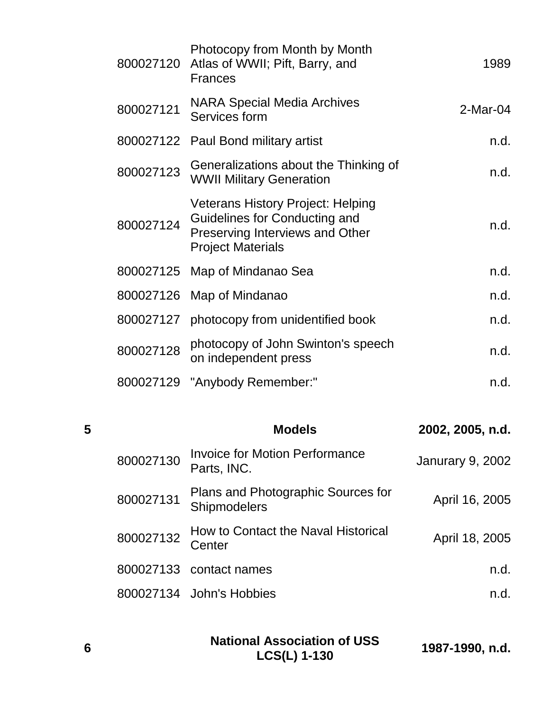| 800027120 | Photocopy from Month by Month<br>Atlas of WWII; Pift, Barry, and<br><b>Frances</b>                                                              | 1989       |
|-----------|-------------------------------------------------------------------------------------------------------------------------------------------------|------------|
| 800027121 | <b>NARA Special Media Archives</b><br>Services form                                                                                             | $2-Mar-04$ |
|           | 800027122 Paul Bond military artist                                                                                                             | n.d.       |
| 800027123 | Generalizations about the Thinking of<br><b>WWII Military Generation</b>                                                                        | n.d.       |
| 800027124 | <b>Veterans History Project: Helping</b><br>Guidelines for Conducting and<br><b>Preserving Interviews and Other</b><br><b>Project Materials</b> | n.d.       |
|           | 800027125 Map of Mindanao Sea                                                                                                                   | n.d.       |
|           | 800027126 Map of Mindanao                                                                                                                       | n.d.       |
|           | 800027127 photocopy from unidentified book                                                                                                      | n.d.       |
| 800027128 | photocopy of John Swinton's speech<br>on independent press                                                                                      | n.d.       |
|           | 800027129 "Anybody Remember:"                                                                                                                   | n.d.       |
|           |                                                                                                                                                 |            |

| 5 |           | <b>Models</b>                                        | 2002, 2005, n.d.        |
|---|-----------|------------------------------------------------------|-------------------------|
|   | 800027130 | <b>Invoice for Motion Performance</b><br>Parts, INC. | <b>Janurary 9, 2002</b> |
|   | 800027131 | Plans and Photographic Sources for<br>Shipmodelers   | April 16, 2005          |
|   | 800027132 | How to Contact the Naval Historical<br>Center        | April 18, 2005          |
|   |           | 800027133 contact names                              | n.d.                    |
|   |           | 800027134 John's Hobbies                             | n.d.                    |
|   |           |                                                      |                         |

| <b>National Association of USS</b> |                 |
|------------------------------------|-----------------|
| <b>LCS(L) 1-130</b>                | 1987-1990, n.d. |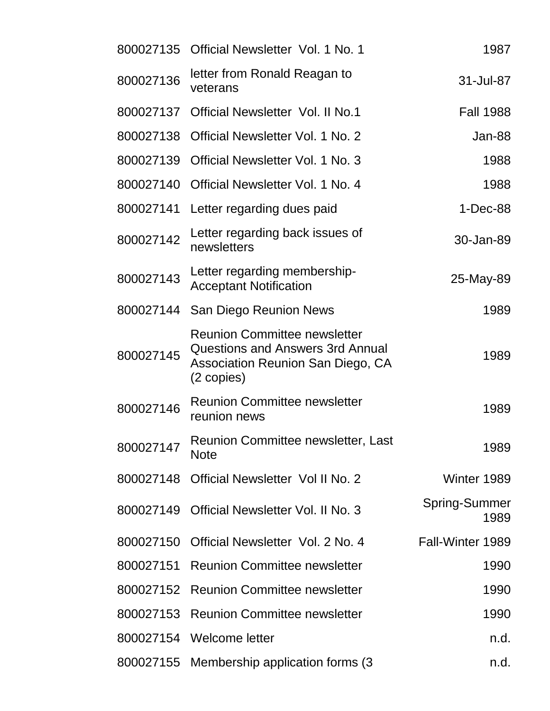|           | 800027135 Official Newsletter Vol. 1 No. 1                                                                                 | 1987                         |
|-----------|----------------------------------------------------------------------------------------------------------------------------|------------------------------|
| 800027136 | letter from Ronald Reagan to<br>veterans                                                                                   | 31-Jul-87                    |
| 800027137 | <b>Official Newsletter Vol. II No.1</b>                                                                                    | <b>Fall 1988</b>             |
| 800027138 | Official Newsletter Vol. 1 No. 2                                                                                           | Jan-88                       |
| 800027139 | Official Newsletter Vol. 1 No. 3                                                                                           | 1988                         |
| 800027140 | Official Newsletter Vol. 1 No. 4                                                                                           | 1988                         |
| 800027141 | Letter regarding dues paid                                                                                                 | $1-Dec-88$                   |
| 800027142 | Letter regarding back issues of<br>newsletters                                                                             | 30-Jan-89                    |
| 800027143 | Letter regarding membership-<br><b>Acceptant Notification</b>                                                              | 25-May-89                    |
| 800027144 | San Diego Reunion News                                                                                                     | 1989                         |
| 800027145 | <b>Reunion Committee newsletter</b><br>Questions and Answers 3rd Annual<br>Association Reunion San Diego, CA<br>(2 copies) | 1989                         |
| 800027146 | <b>Reunion Committee newsletter</b><br>reunion news                                                                        | 1989                         |
| 800027147 | Reunion Committee newsletter, Last<br><b>Note</b>                                                                          | 1989                         |
| 800027148 | Official Newsletter Vol II No. 2                                                                                           | Winter 1989                  |
| 800027149 | Official Newsletter Vol. II No. 3                                                                                          | <b>Spring-Summer</b><br>1989 |
| 800027150 | Official Newsletter Vol. 2 No. 4                                                                                           | Fall-Winter 1989             |
| 800027151 | <b>Reunion Committee newsletter</b>                                                                                        | 1990                         |
| 800027152 | <b>Reunion Committee newsletter</b>                                                                                        | 1990                         |
| 800027153 | <b>Reunion Committee newsletter</b>                                                                                        | 1990                         |
| 800027154 | Welcome letter                                                                                                             | n.d.                         |
| 800027155 | Membership application forms (3)                                                                                           | n.d.                         |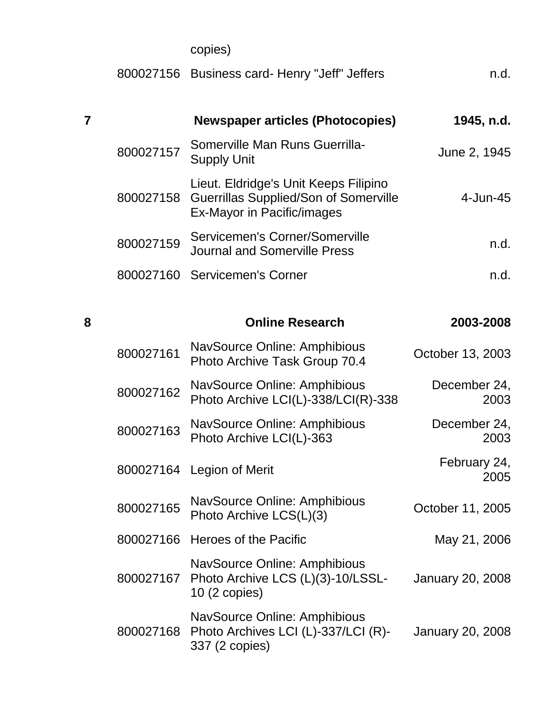|   |           | copies)                                                                                                             |                      |
|---|-----------|---------------------------------------------------------------------------------------------------------------------|----------------------|
|   |           | 800027156 Business card- Henry "Jeff" Jeffers                                                                       | n.d.                 |
|   |           | <b>Newspaper articles (Photocopies)</b>                                                                             | 1945, n.d.           |
|   | 800027157 | Somerville Man Runs Guerrilla-<br><b>Supply Unit</b>                                                                | June 2, 1945         |
|   | 800027158 | Lieut. Eldridge's Unit Keeps Filipino<br><b>Guerrillas Supplied/Son of Somerville</b><br>Ex-Mayor in Pacific/images | 4-Jun-45             |
|   | 800027159 | Servicemen's Corner/Somerville<br><b>Journal and Somerville Press</b>                                               | n.d.                 |
|   | 800027160 | <b>Servicemen's Corner</b>                                                                                          | n.d.                 |
| 8 |           | <b>Online Research</b>                                                                                              | 2003-2008            |
|   | 800027161 | NavSource Online: Amphibious<br>Photo Archive Task Group 70.4                                                       | October 13, 2003     |
|   | 800027162 | NavSource Online: Amphibious<br>Photo Archive LCI(L)-338/LCI(R)-338                                                 | December 24,<br>2003 |
|   | 800027163 | NavSource Online: Amphibious<br>Photo Archive LCI(L)-363                                                            | December 24,<br>2003 |
|   |           | 800027164 Legion of Merit                                                                                           | February 24,<br>2005 |
|   | 800027165 | NavSource Online: Amphibious<br>Photo Archive LCS(L)(3)                                                             | October 11, 2005     |
|   | 800027166 | Heroes of the Pacific                                                                                               | May 21, 2006         |
|   | 800027167 | NavSource Online: Amphibious<br>Photo Archive LCS (L)(3)-10/LSSL-<br>10 (2 copies)                                  | January 20, 2008     |
|   | 800027168 | NavSource Online: Amphibious<br>Photo Archives LCI (L)-337/LCI (R)-<br>337 (2 copies)                               | January 20, 2008     |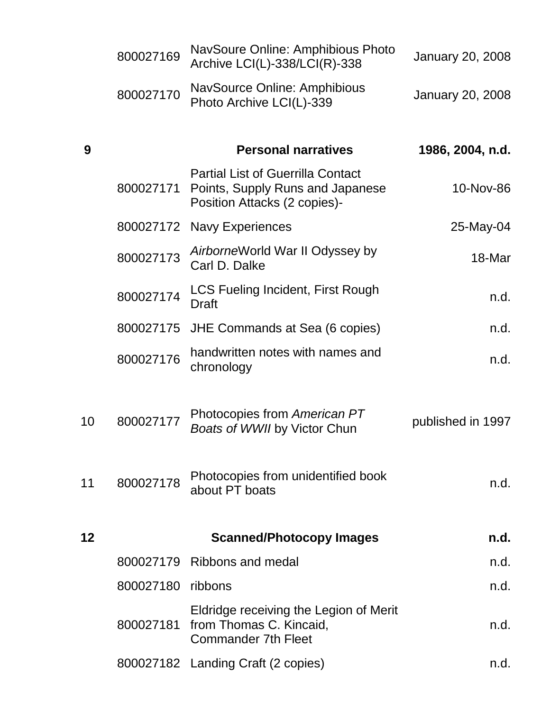|    | 800027169 | NavSoure Online: Amphibious Photo<br>Archive LCI(L)-338/LCI(R)-338                                           | <b>January 20, 2008</b> |
|----|-----------|--------------------------------------------------------------------------------------------------------------|-------------------------|
|    | 800027170 | NavSource Online: Amphibious<br>Photo Archive LCI(L)-339                                                     | <b>January 20, 2008</b> |
| 9  |           | <b>Personal narratives</b>                                                                                   | 1986, 2004, n.d.        |
|    | 800027171 | <b>Partial List of Guerrilla Contact</b><br>Points, Supply Runs and Japanese<br>Position Attacks (2 copies)- | 10-Nov-86               |
|    | 800027172 | <b>Navy Experiences</b>                                                                                      | 25-May-04               |
|    | 800027173 | AirborneWorld War II Odyssey by<br>Carl D. Dalke                                                             | 18-Mar                  |
|    | 800027174 | LCS Fueling Incident, First Rough<br><b>Draft</b>                                                            | n.d.                    |
|    | 800027175 | JHE Commands at Sea (6 copies)                                                                               | n.d.                    |
|    | 800027176 | handwritten notes with names and<br>chronology                                                               | n.d.                    |
| 10 | 800027177 | Photocopies from American PT<br>Boats of WWII by Victor Chun                                                 | published in 1997       |
| 11 | 800027178 | Photocopies from unidentified book<br>about PT boats                                                         | n.d.                    |
| 12 |           | <b>Scanned/Photocopy Images</b>                                                                              | n.d.                    |
|    |           | 800027179 Ribbons and medal                                                                                  | n.d.                    |
|    | 800027180 | ribbons                                                                                                      | n.d.                    |
|    | 800027181 | Eldridge receiving the Legion of Merit<br>from Thomas C. Kincaid,<br><b>Commander 7th Fleet</b>              | n.d.                    |
|    |           | 800027182 Landing Craft (2 copies)                                                                           | n.d.                    |